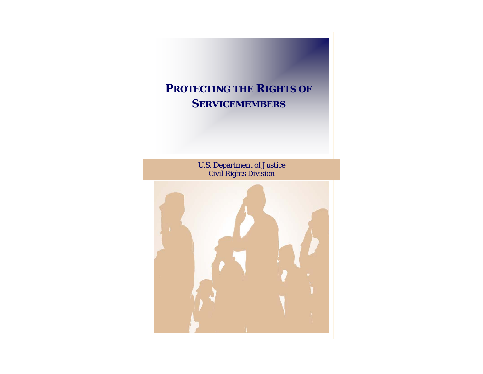# **PROTECTING THE RIGHTS OF SERVICEMEMBERS** U.S. Department of Justice Civil Rights Division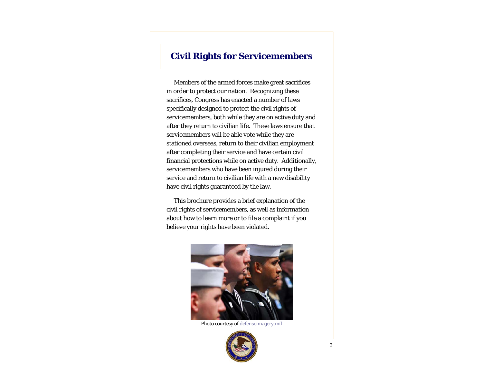# **Civil Rights for Servicemembers**

 Members of the armed forces make great sacrifices in order to protect our nation. Recognizing these sacrifices, Congress has enacted a number of laws specifically designed to protect the civil rights of servicemembers, both while they are on active duty and after they return to civilian life. These laws ensure that servicemembers will be able vote while they are stationed overseas, return to their civilian employment after completing their service and have certain civil financial protections while on active duty. Additionally, servicemembers who have been injured during their service and return to civilian life with a new disability have civil rights guaranteed by the law.

 This brochure provides a brief explanation of the civil rights of servicemembers, as well as information about how to learn more or to file a complaint if you believe your rights have been violated.



Photo courtesy of defenseimagery.mil

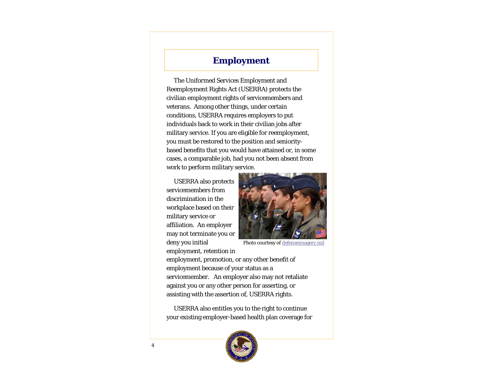### **Employment**

 The Uniformed Services Employment and Reemployment Rights Act (USERRA) protects the civilian employment rights of servicemembers and veterans. Among other things, under certain conditions, USERRA requires employers to put individuals back to work in their civilian jobs after military service. If you are eligible for reemployment, you must be restored to the position and senioritybased benefits that you would have attained or, in some cases, a comparable job, had you not been absent from work to perform military service.

 USERRA also protects servicemembers from discrimination in the workplace based on their military service or affiliation. An employer may not terminate you or deny you initial

employment, retention in



Photo courtesy of defenseimagery.mil

employment, promotion, or any other benefit of employment because of your status as a servicemember. An employer also may not retaliate against you or any other person for asserting, or assisting with the assertion of, USERRA rights.

 USERRA also entitles you to the right to continue your existing employer-based health plan coverage for

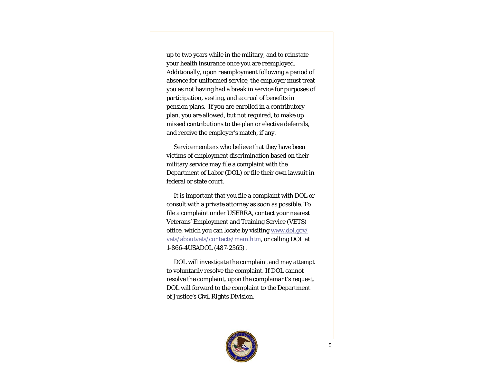up to two years while in the military, and to reinstate your health insurance once you are reemployed. Additionally, upon reemployment following a period of absence for uniformed service, the employer must treat you as not having had a break in service for purposes of participation, vesting, and accrual of benefits in pension plans. If you are enrolled in a contributory plan, you are allowed, but not required, to make up missed contributions to the plan or elective deferrals, and receive the employer's match, if any.

 Servicemembers who believe that they have been victims of employment discrimination based on their military service may file a complaint with the Department of Labor (DOL) or file their own lawsuit in federal or state court.

 It is important that you file a complaint with DOL or consult with a private attorney as soon as possible. To file a complaint under USERRA, contact your nearest Veterans' Employment and Training Service (VETS) office, which you can locate by visiting www.dol.gov/ vets/aboutvets/contacts/main.htm, or calling DOL at 1-866-4USADOL (487-2365) .

 DOL will investigate the complaint and may attempt to voluntarily resolve the complaint. If DOL cannot resolve the complaint, upon the complainant's request, DOL will forward to the complaint to the Department of Justice's Civil Rights Division.

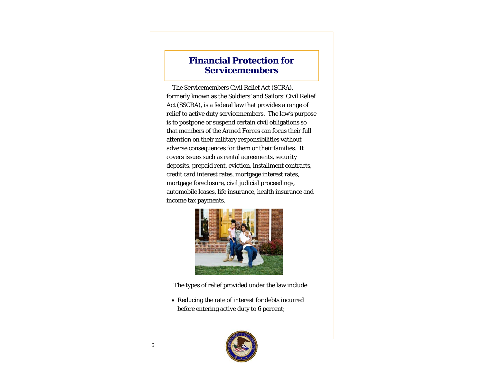#### **Financial Protection for Servicemembers**

 The Servicemembers Civil Relief Act (SCRA), formerly known as the Soldiers' and Sailors' Civil Relief Act (SSCRA), is a federal law that provides a range of relief to active duty servicemembers. The law's purpose is to postpone or suspend certain civil obligations so that members of the Armed Forces can focus their full attention on their military responsibilities without adverse consequences for them or their families. It covers issues such as rental agreements, security deposits, prepaid rent, eviction, installment contracts, credit card interest rates, mortgage interest rates, mortgage foreclosure, civil judicial proceedings, automobile leases, life insurance, health insurance and income tax payments.



The types of relief provided under the law include:

 Reducing the rate of interest for debts incurred before entering active duty to 6 percent;

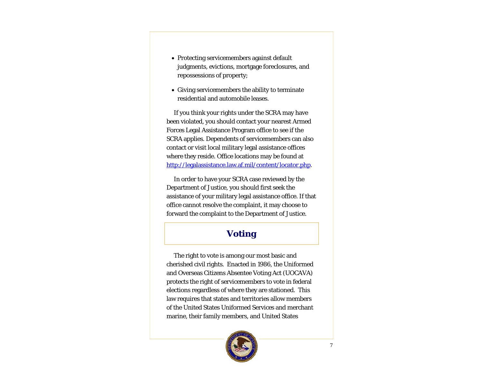- Protecting servicemembers against default judgments, evictions, mortgage foreclosures, and repossessions of property;
- Giving servicemembers the ability to terminate residential and automobile leases.

If you think your rights under the SCRA may have been violated, you should contact your nearest Armed Forces Legal Assistance Program office to see if the SCRA applies. Dependents of servicemembers can also contact or visit local military legal assistance offices where they reside. Office locations may be found at http://legalassistance.law.af.mil/content/locator.php.

 In order to have your SCRA case reviewed by the Department of Justice, you should first seek the assistance of your military legal assistance office. If that office cannot resolve the complaint, it may choose to forward the complaint to the Department of Justice.

# **Voting**

 The right to vote is among our most basic and cherished civil rights. Enacted in 1986, the Uniformed and Overseas Citizens Absentee Voting Act (UOCAVA) protects the right of servicemembers to vote in federal elections regardless of where they are stationed. This law requires that states and territories allow members of the United States Uniformed Services and merchant marine, their family members, and United States

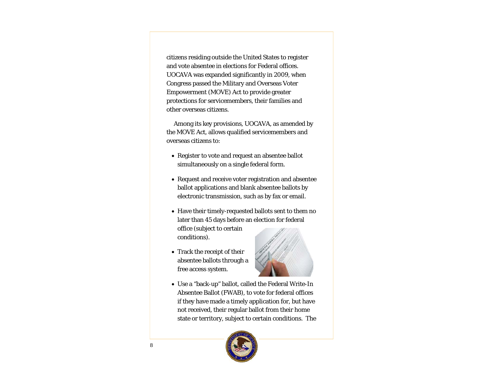citizens residing outside the United States to register and vote absentee in elections for Federal offices. UOCAVA was expanded significantly in 2009, when Congress passed the Military and Overseas Voter Empowerment (MOVE) Act to provide greater protections for servicemembers, their families and other overseas citizens.

 Among its key provisions, UOCAVA, as amended by the MOVE Act, allows qualified servicemembers and overseas citizens to:

- Register to vote and request an absentee ballot simultaneously on a single federal form.
- Request and receive voter registration and absentee ballot applications and blank absentee ballots by electronic transmission, such as by fax or email.
- Have their timely-requested ballots sent to them no later than 45 days before an election for federal office (subject to certain conditions).
- Track the receipt of their absentee ballots through a free access system.



 Use a "back-up" ballot, called the Federal Write-In Absentee Ballot (FWAB), to vote for federal offices if they have made a timely application for, but have not received, their regular ballot from their home state or territory, subject to certain conditions. The

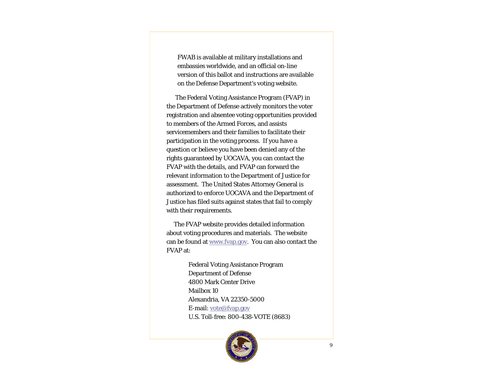FWAB is available at military installations and embassies worldwide, and an official on-line version of this ballot and instructions are available on the Defense Department's voting website.

 The Federal Voting Assistance Program (FVAP) in the Department of Defense actively monitors the voter registration and absentee voting opportunities provided to members of the Armed Forces, and assists servicemembers and their families to facilitate their participation in the voting process. If you have a question or believe you have been denied any of the rights guaranteed by UOCAVA, you can contact the FVAP with the details, and FVAP can forward the relevant information to the Department of Justice for assessment. The United States Attorney General is authorized to enforce UOCAVA and the Department of Justice has filed suits against states that fail to comply with their requirements.

 The FVAP website provides detailed information about voting procedures and materials. The website can be found at www.fvap.gov. You can also contact the FVAP at:

> Federal Voting Assistance Program Department of Defense 4800 Mark Center Drive Mailbox 10 Alexandria, VA 22350-5000 E-mail: vote@fvap.gov U.S. Toll-free: 800-438-VOTE (8683)

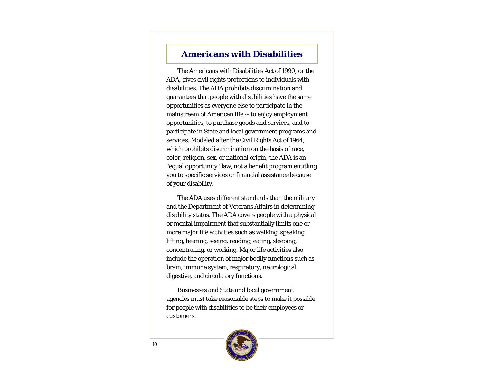# **Americans with Disabilities**

 The Americans with Disabilities Act of 1990, or the ADA, gives civil rights protections to individuals with disabilities. The ADA prohibits discrimination and guarantees that people with disabilities have the same opportunities as everyone else to participate in the mainstream of American life -- to enjoy employment opportunities, to purchase goods and services, and to participate in State and local government programs and services. Modeled after the Civil Rights Act of 1964, which prohibits discrimination on the basis of race, color, religion, sex, or national origin, the ADA is an "equal opportunity" law, not a benefit program entitling you to specific services or financial assistance because of your disability.

 The ADA uses different standards than the military and the Department of Veterans Affairs in determining disability status. The ADA covers people with a physical or mental impairment that substantially limits one or more major life activities such as walking, speaking, lifting, hearing, seeing, reading, eating, sleeping, concentrating, or working. Major life activities also include the operation of major bodily functions such as brain, immune system, respiratory, neurological, digestive, and circulatory functions.

 Businesses and State and local government agencies must take reasonable steps to make it possible for people with disabilities to be their employees or customers.

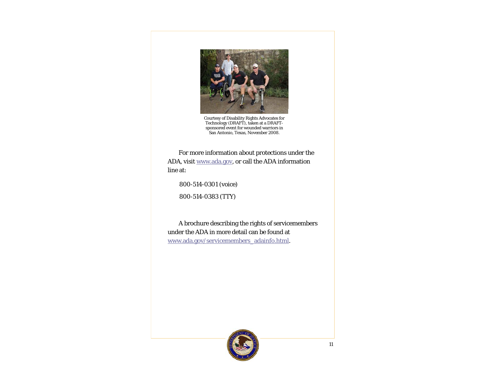

Courtesy of Disability Rights Advocates for Technology (DRAFT), taken at a DRAFT-sponsored event for wounded warriors in San Antonio, Texas, November 2008.

 For more information about protections under the ADA, visit www.ada.gov, or call the ADA information line at:

800-514-0301 (voice)

800-514-0383 (TTY)

 A brochure describing the rights of servicemembers under the ADA in more detail can be found at www.ada.gov/servicemembers\_adainfo.html.